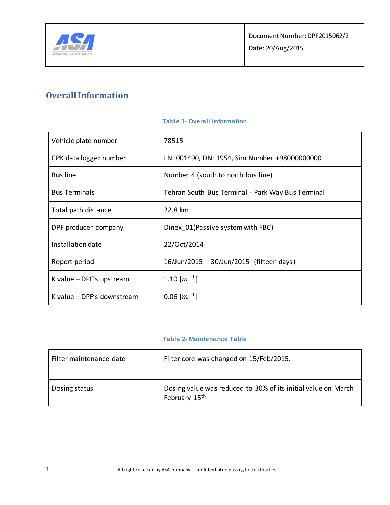

# **Overall Information**

| Vehicle plate number       | 78515                                             |
|----------------------------|---------------------------------------------------|
| CPK data logger number     | LN: 001490, DN: 1954, Sim Number +98000000000     |
| <b>Bus line</b>            | Number 4 (south to north bus line)                |
| <b>Bus Terminals</b>       | Tehran South Bus Terminal - Park Way Bus Terminal |
| Total path distance        | 22.8 km                                           |
| DPF producer company       | Dinex 01 (Passive system with FBC)                |
| Installation date          | 22/Oct/2014                                       |
| Report period              | 16/Jun/2015 - 30/Jun/2015 (fifteen days)          |
| K value $-DPF's$ upstream  | 1.10 $\lfloor m^{-1} \rfloor$                     |
| K value - DPF's downstream | $0.06$ $\lfloor m^{-1} \rfloor$                   |

### **Table 1- Overall Information**

### **Table 2- Maintenance Table**

| Filter maintenance date | Filter core was changed on 15/Feb/2015.                                                    |
|-------------------------|--------------------------------------------------------------------------------------------|
| Dosing status           | Dosing value was reduced to 30% of its initial value on March<br>February 15 <sup>th</sup> |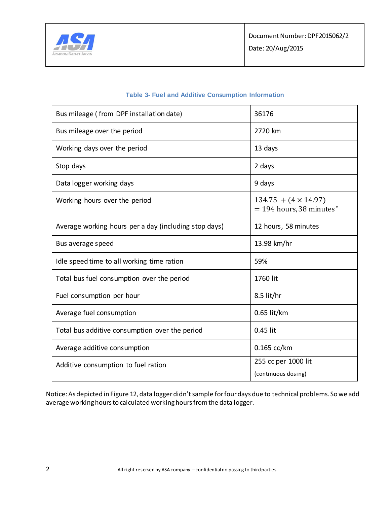

| 36176                                                     |
|-----------------------------------------------------------|
|                                                           |
| 2720 km                                                   |
| 13 days                                                   |
| 2 days                                                    |
| 9 days                                                    |
| $134.75 + (4 \times 14.97)$<br>$= 194$ hours, 38 minutes* |
| 12 hours, 58 minutes                                      |
| 13.98 km/hr                                               |
| 59%                                                       |
| 1760 lit                                                  |
| 8.5 lit/hr                                                |
| $0.65$ lit/km                                             |
| 0.45 lit                                                  |
| $0.165$ cc/km                                             |
| 255 cc per 1000 lit<br>(continuous dosing)                |
|                                                           |

### **Table 3- Fuel and Additive Consumption Information**

Notice: As depicted in Figure 12, data logger didn't sample for four days due to technical problems. So we add average working hours to calculated working hours from the data logger.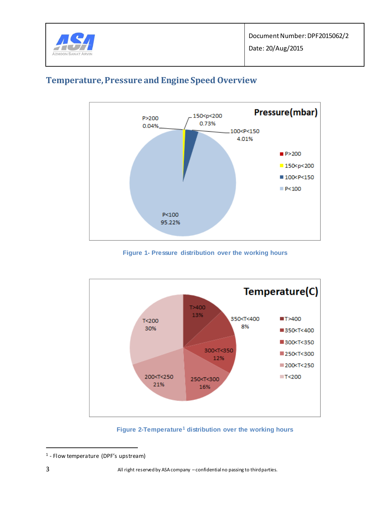



# **Temperature, Pressure and Engine Speed Overview**

**Figure 1- Pressure distribution over the working hours**

<span id="page-2-0"></span>

**Figure 2-Temperature<sup>1</sup> distribution over the working hours**

<span id="page-2-1"></span> $\overline{a}$ 

<sup>1</sup> - Flow temperature (DPF's upstream)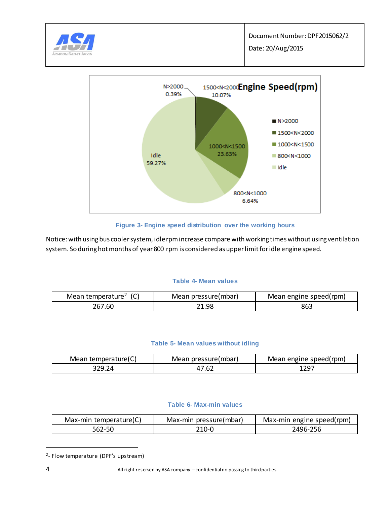



### **Figure 3- Engine speed distribution over the working hours**

Notice: with using bus cooler system, idle rpm increase compare with working times without using ventilation system. So during hot months of year 800 rpm is considered as upper limit for idle engine speed.

### **Table 4- Mean values**

| Mean temperature <sup>2</sup> | Mean pressure(mbar) | Mean engine speed(rpm) |  |
|-------------------------------|---------------------|------------------------|--|
| 267.60                        | 21.98               | 863                    |  |

### **Table 5- Mean values without idling**

| Mean temperature(C) | Mean pressure(mbar) | Mean engine speed(rpm) |
|---------------------|---------------------|------------------------|
|                     |                     |                        |

### **Table 6- Max-min values**

| Max-min temperature(C) | Max-min pressure(mbar) | Max-min engine speed(rpm) |
|------------------------|------------------------|---------------------------|
| 562-50                 | 210-0                  | 2496-256                  |

<sup>&</sup>lt;sup>2</sup>- Flow temperature (DPF's upstream)

 $\overline{a}$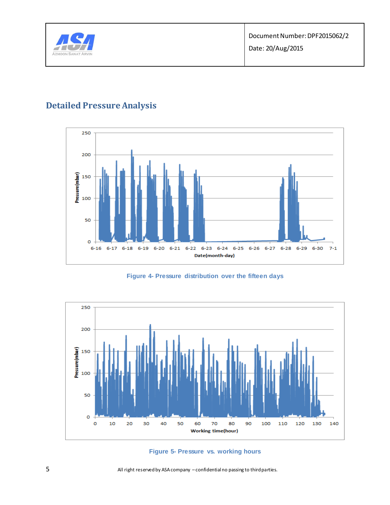

# **Detailed Pressure Analysis**



**Figure 4- Pressure distribution over the fifteen days**



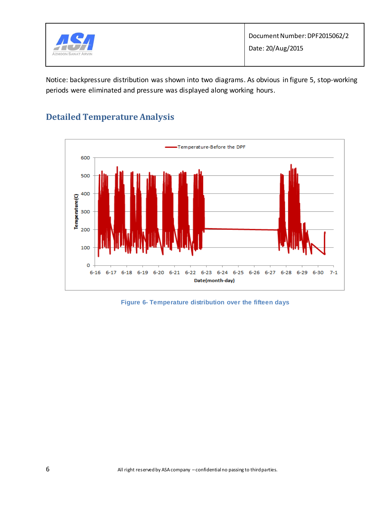

Notice: backpressure distribution was shown into two diagrams. As obvious in figure 5, stop-working periods were eliminated and pressure was displayed along working hours.

# **Detailed Temperature Analysis**



### **Figure 6- Temperature distribution over the fifteen days**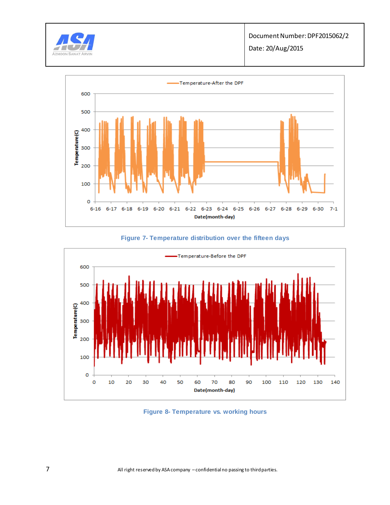

Date: 20/Aug/2015



### **Figure 7- Temperature distribution over the fifteen days**



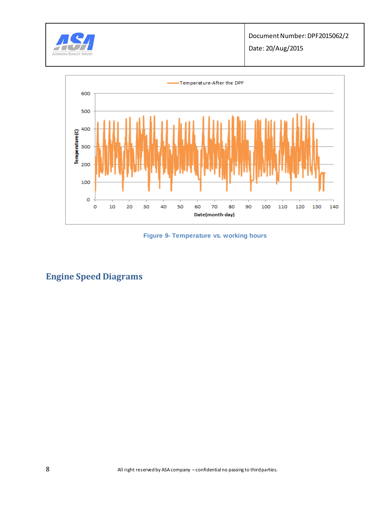

Date: 20/Aug/2015



**Figure 9- Temperature vs. working hours** 

# **Engine Speed Diagrams**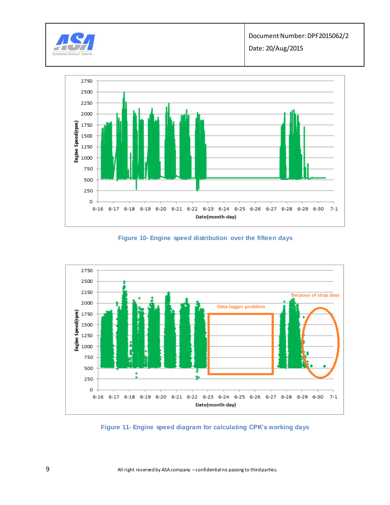



**Figure 10- Engine speed distribution over the fifteen days** 



**Figure 11- Engine speed diagram for calculating CPK's working days**

9 All right reserved by ASA company – confidential no passing to third parties.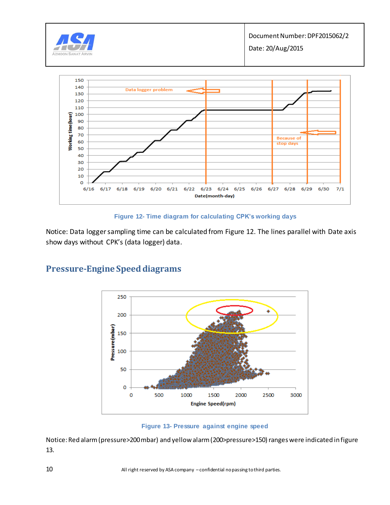

### **Figure 12- Time diagram for calculating CPK's working days**

Notice: Data logger sampling time can be calculated from Figure 12. The lines parallel with Date axis show days without CPK's (data logger) data.



### **Pressure-Engine Speed diagrams**

**Figure 13- Pressure against engine speed** 

Notice: Red alarm (pressure>200 mbar) and yellow alarm (200>pressure>150) ranges were indicated in figure 13.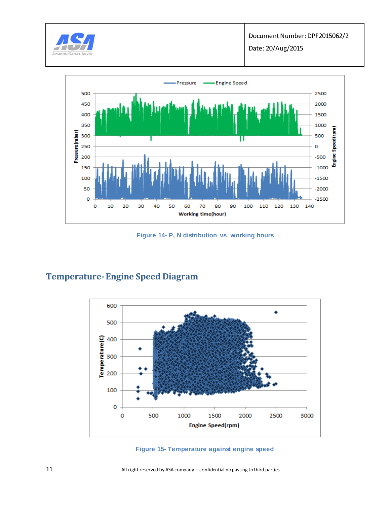



**Figure 14- P, N distribution vs. working hours**

### **Temperature-Engine Speed Diagram**





11 All right reserved by ASA company – confidential no passing to third parties.